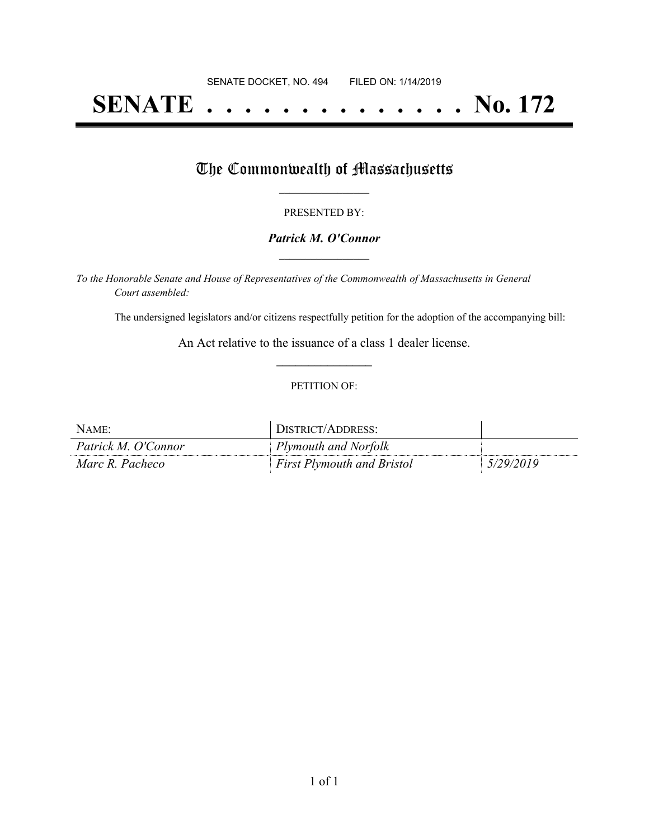# **SENATE . . . . . . . . . . . . . . No. 172**

## The Commonwealth of Massachusetts

#### PRESENTED BY:

#### *Patrick M. O'Connor* **\_\_\_\_\_\_\_\_\_\_\_\_\_\_\_\_\_**

*To the Honorable Senate and House of Representatives of the Commonwealth of Massachusetts in General Court assembled:*

The undersigned legislators and/or citizens respectfully petition for the adoption of the accompanying bill:

An Act relative to the issuance of a class 1 dealer license. **\_\_\_\_\_\_\_\_\_\_\_\_\_\_\_**

#### PETITION OF:

| NAME:               | DISTRICT/ADDRESS:                 |           |
|---------------------|-----------------------------------|-----------|
| Patrick M. O'Connor | Plymouth and Norfolk              |           |
| Marc R. Pacheco     | <b>First Plymouth and Bristol</b> | 5/29/2019 |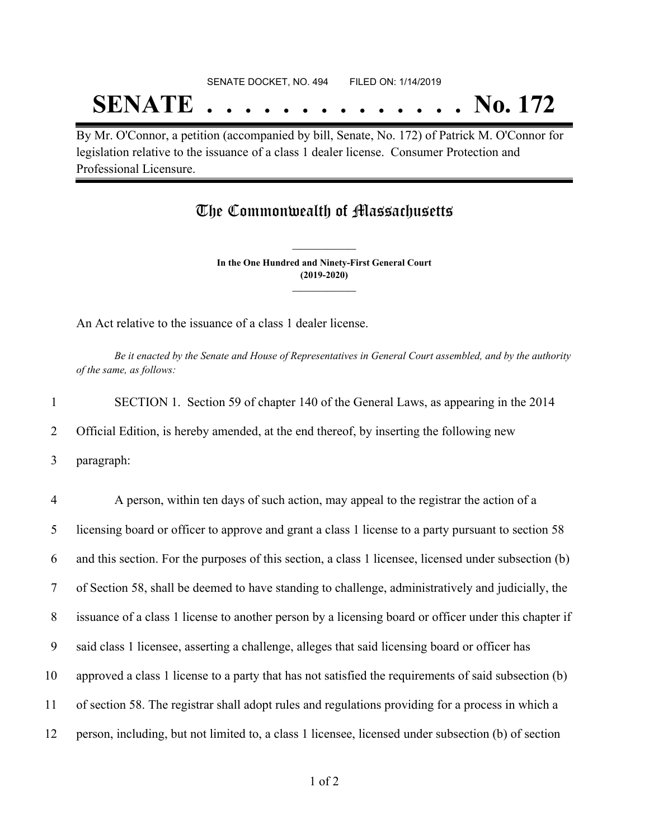# SENATE DOCKET, NO. 494 FILED ON: 1/14/2019 **SENATE . . . . . . . . . . . . . . No. 172**

By Mr. O'Connor, a petition (accompanied by bill, Senate, No. 172) of Patrick M. O'Connor for legislation relative to the issuance of a class 1 dealer license. Consumer Protection and Professional Licensure.

### The Commonwealth of Massachusetts

**In the One Hundred and Ninety-First General Court (2019-2020) \_\_\_\_\_\_\_\_\_\_\_\_\_\_\_**

**\_\_\_\_\_\_\_\_\_\_\_\_\_\_\_**

An Act relative to the issuance of a class 1 dealer license.

Be it enacted by the Senate and House of Representatives in General Court assembled, and by the authority *of the same, as follows:*

1 SECTION 1. Section 59 of chapter 140 of the General Laws, as appearing in the 2014 2 Official Edition, is hereby amended, at the end thereof, by inserting the following new

3 paragraph:

 A person, within ten days of such action, may appeal to the registrar the action of a licensing board or officer to approve and grant a class 1 license to a party pursuant to section 58 and this section. For the purposes of this section, a class 1 licensee, licensed under subsection (b) of Section 58, shall be deemed to have standing to challenge, administratively and judicially, the issuance of a class 1 license to another person by a licensing board or officer under this chapter if said class 1 licensee, asserting a challenge, alleges that said licensing board or officer has approved a class 1 license to a party that has not satisfied the requirements of said subsection (b) of section 58. The registrar shall adopt rules and regulations providing for a process in which a person, including, but not limited to, a class 1 licensee, licensed under subsection (b) of section